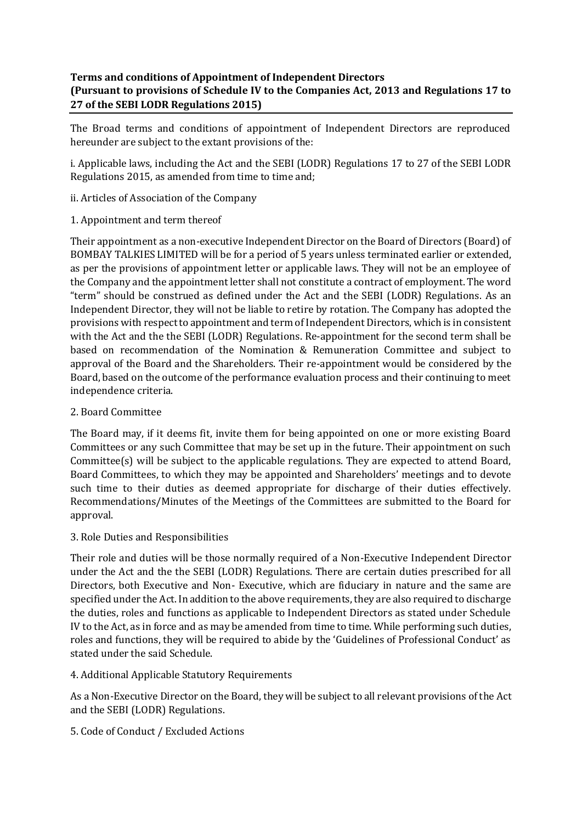# **Terms and conditions of Appointment of Independent Directors (Pursuant to provisions of Schedule IV to the Companies Act, 2013 and Regulations 17 to 27 of the SEBI LODR Regulations 2015)**

The Broad terms and conditions of appointment of Independent Directors are reproduced hereunder are subject to the extant provisions of the:

i. Applicable laws, including the Act and the SEBI (LODR) Regulations 17 to 27 of the SEBI LODR Regulations 2015, as amended from time to time and;

- ii. Articles of Association of the Company
- 1. Appointment and term thereof

Their appointment as a non-executive Independent Director on the Board of Directors (Board) of BOMBAY TALKIES LIMITED will be for a period of 5 years unless terminated earlier or extended, as per the provisions of appointment letter or applicable laws. They will not be an employee of the Company and the appointment letter shall not constitute a contract of employment. The word "term" should be construed as defined under the Act and the SEBI (LODR) Regulations. As an Independent Director, they will not be liable to retire by rotation. The Company has adopted the provisions with respect to appointment and term of Independent Directors, which is in consistent with the Act and the the SEBI (LODR) Regulations. Re-appointment for the second term shall be based on recommendation of the Nomination & Remuneration Committee and subject to approval of the Board and the Shareholders. Their re-appointment would be considered by the Board, based on the outcome of the performance evaluation process and their continuing to meet independence criteria.

### 2. Board Committee

The Board may, if it deems fit, invite them for being appointed on one or more existing Board Committees or any such Committee that may be set up in the future. Their appointment on such Committee(s) will be subject to the applicable regulations. They are expected to attend Board, Board Committees, to which they may be appointed and Shareholders' meetings and to devote such time to their duties as deemed appropriate for discharge of their duties effectively. Recommendations/Minutes of the Meetings of the Committees are submitted to the Board for approval.

### 3. Role Duties and Responsibilities

Their role and duties will be those normally required of a Non-Executive Independent Director under the Act and the the SEBI (LODR) Regulations. There are certain duties prescribed for all Directors, both Executive and Non- Executive, which are fiduciary in nature and the same are specified under the Act. In addition to the above requirements, they are also required to discharge the duties, roles and functions as applicable to Independent Directors as stated under Schedule IV to the Act, as in force and as may be amended from time to time. While performing such duties, roles and functions, they will be required to abide by the 'Guidelines of Professional Conduct' as stated under the said Schedule.

### 4. Additional Applicable Statutory Requirements

As a Non-Executive Director on the Board, they will be subject to all relevant provisions of the Act and the SEBI (LODR) Regulations.

5. Code of Conduct / Excluded Actions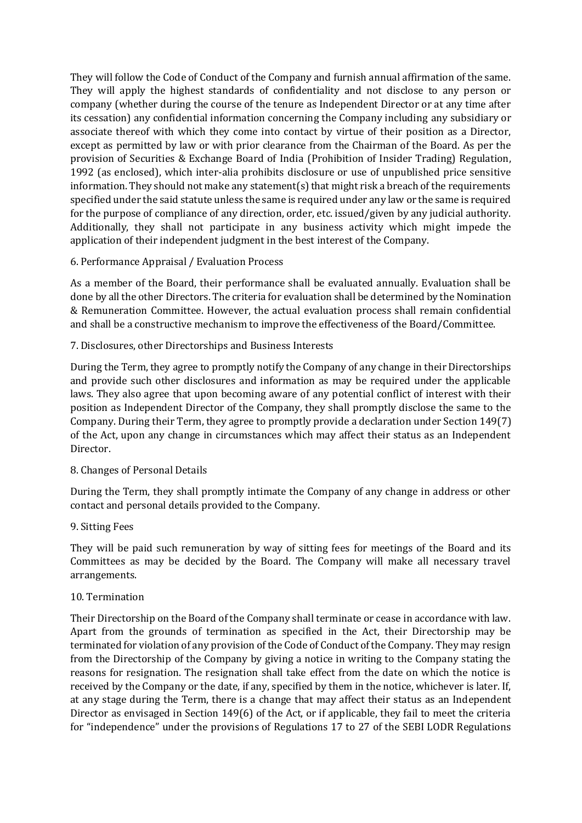They will follow the Code of Conduct of the Company and furnish annual affirmation of the same. They will apply the highest standards of confidentiality and not disclose to any person or company (whether during the course of the tenure as Independent Director or at any time after its cessation) any confidential information concerning the Company including any subsidiary or associate thereof with which they come into contact by virtue of their position as a Director, except as permitted by law or with prior clearance from the Chairman of the Board. As per the provision of Securities & Exchange Board of India (Prohibition of Insider Trading) Regulation, 1992 (as enclosed), which inter-alia prohibits disclosure or use of unpublished price sensitive information. They should not make any statement(s) that might risk a breach of the requirements specified under the said statute unless the same is required under any law or the same is required for the purpose of compliance of any direction, order, etc. issued/given by any judicial authority. Additionally, they shall not participate in any business activity which might impede the application of their independent judgment in the best interest of the Company.

### 6. Performance Appraisal / Evaluation Process

As a member of the Board, their performance shall be evaluated annually. Evaluation shall be done by all the other Directors. The criteria for evaluation shall be determined by the Nomination & Remuneration Committee. However, the actual evaluation process shall remain confidential and shall be a constructive mechanism to improve the effectiveness of the Board/Committee.

### 7. Disclosures, other Directorships and Business Interests

During the Term, they agree to promptly notify the Company of any change in their Directorships and provide such other disclosures and information as may be required under the applicable laws. They also agree that upon becoming aware of any potential conflict of interest with their position as Independent Director of the Company, they shall promptly disclose the same to the Company. During their Term, they agree to promptly provide a declaration under Section 149(7) of the Act, upon any change in circumstances which may affect their status as an Independent Director.

# 8. Changes of Personal Details

During the Term, they shall promptly intimate the Company of any change in address or other contact and personal details provided to the Company.

### 9. Sitting Fees

They will be paid such remuneration by way of sitting fees for meetings of the Board and its Committees as may be decided by the Board. The Company will make all necessary travel arrangements.

### 10. Termination

Their Directorship on the Board of the Company shall terminate or cease in accordance with law. Apart from the grounds of termination as specified in the Act, their Directorship may be terminated for violation of any provision of the Code of Conduct of the Company. They may resign from the Directorship of the Company by giving a notice in writing to the Company stating the reasons for resignation. The resignation shall take effect from the date on which the notice is received by the Company or the date, if any, specified by them in the notice, whichever is later. If, at any stage during the Term, there is a change that may affect their status as an Independent Director as envisaged in Section 149(6) of the Act, or if applicable, they fail to meet the criteria for "independence" under the provisions of Regulations 17 to 27 of the SEBI LODR Regulations